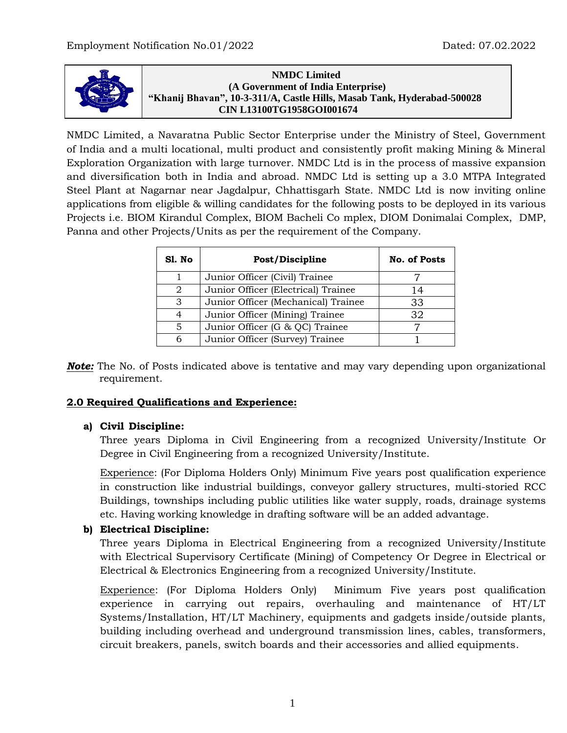

**N NMDC Limited (A Government of India Enterprise) "Khanij Bhavan", 10-3-311/A, Castle Hills, Masab Tank, Hyderabad-500028 CIN L13100TG1958GOI001674**

NMDC Limited, a Navaratna Public Sector Enterprise under the Ministry of Steel, Government of India and a multi locational, multi product and consistently profit making Mining & Mineral Exploration Organization with large turnover. NMDC Ltd is in the process of massive expansion and diversification both in India and abroad. NMDC Ltd is setting up a 3.0 MTPA Integrated Steel Plant at Nagarnar near Jagdalpur, Chhattisgarh State. NMDC Ltd is now inviting online applications from eligible & willing candidates for the following posts to be deployed in its various Projects i.e. BIOM Kirandul Complex, BIOM Bacheli Co mplex, DIOM Donimalai Complex, DMP, Panna and other Projects/Units as per the requirement of the Company.

| Sl. No | Post/Discipline                     | <b>No. of Posts</b> |
|--------|-------------------------------------|---------------------|
|        | Junior Officer (Civil) Trainee      |                     |
| 2      | Junior Officer (Electrical) Trainee | 14                  |
| 3      | Junior Officer (Mechanical) Trainee | 33                  |
| 4      | Junior Officer (Mining) Trainee     | 32                  |
| 5      | Junior Officer (G & QC) Trainee     |                     |
| 6      | Junior Officer (Survey) Trainee     |                     |

**Note:** The No. of Posts indicated above is tentative and may vary depending upon organizational requirement.

# **2.0 Required Qualifications and Experience:**

#### **a) Civil Discipline:**

Three years Diploma in Civil Engineering from a recognized University/Institute Or Degree in Civil Engineering from a recognized University/Institute.

Experience: (For Diploma Holders Only) Minimum Five years post qualification experience in construction like industrial buildings, conveyor gallery structures, multi-storied RCC Buildings, townships including public utilities like water supply, roads, drainage systems etc. Having working knowledge in drafting software will be an added advantage.

# **b) Electrical Discipline:**

Three years Diploma in Electrical Engineering from a recognized University/Institute with Electrical Supervisory Certificate (Mining) of Competency Or Degree in Electrical or Electrical & Electronics Engineering from a recognized University/Institute.

Experience: (For Diploma Holders Only) Minimum Five years post qualification experience in carrying out repairs, overhauling and maintenance of HT/LT Systems/Installation, HT/LT Machinery, equipments and gadgets inside/outside plants, building including overhead and underground transmission lines, cables, transformers, circuit breakers, panels, switch boards and their accessories and allied equipments.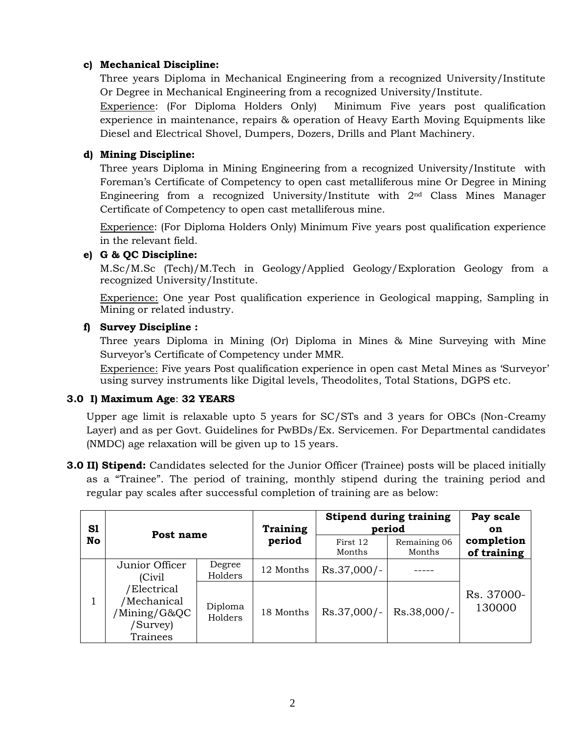### **c) Mechanical Discipline:**

Three years Diploma in Mechanical Engineering from a recognized University/Institute Or Degree in Mechanical Engineering from a recognized University/Institute.

Experience: (For Diploma Holders Only) Minimum Five years post qualification experience in maintenance, repairs & operation of Heavy Earth Moving Equipments like Diesel and Electrical Shovel, Dumpers, Dozers, Drills and Plant Machinery.

## **d) Mining Discipline:**

Three years Diploma in Mining Engineering from a recognized University/Institute with Foreman's Certificate of Competency to open cast metalliferous mine Or Degree in Mining Engineering from a recognized University/Institute with 2nd Class Mines Manager Certificate of Competency to open cast metalliferous mine.

Experience: (For Diploma Holders Only) Minimum Five years post qualification experience in the relevant field.

### **e) G & QC Discipline:**

M.Sc/M.Sc (Tech)/M.Tech in Geology/Applied Geology/Exploration Geology from a recognized University/Institute.

Experience: One year Post qualification experience in Geological mapping, Sampling in Mining or related industry.

### **f) Survey Discipline :**

Three years Diploma in Mining (Or) Diploma in Mines & Mine Surveying with Mine Surveyor's Certificate of Competency under MMR.

Experience: Five years Post qualification experience in open cast Metal Mines as 'Surveyor' using survey instruments like Digital levels, Theodolites, Total Stations, DGPS etc.

# **3.0 I) Maximum Age**: **32 YEARS**

Upper age limit is relaxable upto 5 years for SC/STs and 3 years for OBCs (Non-Creamy Layer) and as per Govt. Guidelines for PwBDs/Ex. Servicemen. For Departmental candidates (NMDC) age relaxation will be given up to 15 years.

**3.0 II) Stipend:** Candidates selected for the Junior Officer (Trainee) posts will be placed initially as a "Trainee". The period of training, monthly stipend during the training period and regular pay scales after successful completion of training are as below:

| S1 | Post name                                                          |                    | Training  | <b>Stipend during training</b><br>period | Pay scale<br><b>on</b> |                           |
|----|--------------------------------------------------------------------|--------------------|-----------|------------------------------------------|------------------------|---------------------------|
| No |                                                                    |                    | period    | First 12<br>Months                       | Remaining 06<br>Months | completion<br>of training |
|    | Junior Officer<br>(Civil)                                          | Degree<br>Holders  | 12 Months | $Rs.37,000/-$                            |                        |                           |
|    | 'Electrical<br>/Mechanical<br>/Mining/G&QC<br>(Survey)<br>Trainees | Diploma<br>Holders | 18 Months | $Rs.37,000/-$                            | Rs.38,000/-            | Rs. 37000-<br>130000      |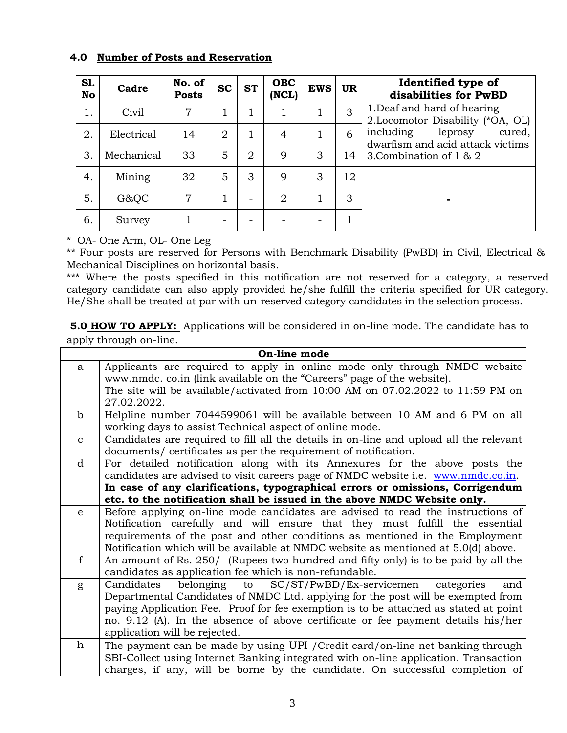#### **4.0 Number of Posts and Reservation**

| S1.<br>No | Cadre      | No. of<br><b>Posts</b> | <b>SC</b>       | <b>ST</b>      | <b>OBC</b><br>(NCL) | <b>EWS</b> | <b>UR</b> | Identified type of<br>disabilities for PwBD                        |  |
|-----------|------------|------------------------|-----------------|----------------|---------------------|------------|-----------|--------------------------------------------------------------------|--|
| 1.        | Civil      | 7                      |                 | ı.             |                     |            | 3         | 1. Deaf and hard of hearing<br>2. Locomotor Disability (*OA, OL)   |  |
| 2.        | Electrical | 14                     | $\overline{2}$  | 1              | $\overline{4}$      |            | 6         | including<br>leprosy<br>cured,<br>dwarfism and acid attack victims |  |
| 3.        | Mechanical | 33                     | 5               | $\overline{2}$ | 9                   | 3          | 14        | 3. Combination of 1 & 2                                            |  |
| 4.        | Mining     | 32                     | 5               | 3              | 9                   | 3          | 12        |                                                                    |  |
| 5.        | G&QC       | 7                      |                 |                | $\overline{2}$      |            | 3         | -                                                                  |  |
| 6.        | Survey     | 1                      | $\qquad \qquad$ |                |                     |            |           |                                                                    |  |

\* OA- One Arm, OL- One Leg

\*\* Four posts are reserved for Persons with Benchmark Disability (PwBD) in Civil, Electrical & Mechanical Disciplines on horizontal basis.

\*\*\* Where the posts specified in this notification are not reserved for a category, a reserved category candidate can also apply provided he/she fulfill the criteria specified for UR category. He/She shall be treated at par with un-reserved category candidates in the selection process.

**5.0 HOW TO APPLY:** Applications will be considered in on-line mode. The candidate has to apply through on-line.

| On-line mode |                                                                                        |  |  |  |  |
|--------------|----------------------------------------------------------------------------------------|--|--|--|--|
| a            | Applicants are required to apply in online mode only through NMDC website              |  |  |  |  |
|              | www.nmdc. co.in (link available on the "Careers" page of the website).                 |  |  |  |  |
|              | The site will be available/activated from 10:00 AM on 07.02.2022 to 11:59 PM on        |  |  |  |  |
|              | 27.02.2022.                                                                            |  |  |  |  |
| $\mathbf b$  | Helpline number $7044599061$ will be available between 10 AM and 6 PM on all           |  |  |  |  |
|              | working days to assist Technical aspect of online mode.                                |  |  |  |  |
| $\mathbf{C}$ | Candidates are required to fill all the details in on-line and upload all the relevant |  |  |  |  |
|              | documents/ certificates as per the requirement of notification.                        |  |  |  |  |
| d            | For detailed notification along with its Annexures for the above posts the             |  |  |  |  |
|              | candidates are advised to visit careers page of NMDC website i.e. www.nmdc.co.in.      |  |  |  |  |
|              | In case of any clarifications, typographical errors or omissions, Corrigendum          |  |  |  |  |
|              | etc. to the notification shall be issued in the above NMDC Website only.               |  |  |  |  |
| e            | Before applying on-line mode candidates are advised to read the instructions of        |  |  |  |  |
|              | Notification carefully and will ensure that they must fulfill the essential            |  |  |  |  |
|              | requirements of the post and other conditions as mentioned in the Employment           |  |  |  |  |
|              | Notification which will be available at NMDC website as mentioned at 5.0(d) above.     |  |  |  |  |
| $\mathbf f$  | An amount of Rs. 250/- (Rupees two hundred and fifty only) is to be paid by all the    |  |  |  |  |
|              | candidates as application fee which is non-refundable.                                 |  |  |  |  |
| g            | belonging to<br>$SC/ST/PwBD/Ex$ -servicemen<br>Candidates<br>categories<br>and         |  |  |  |  |
|              | Departmental Candidates of NMDC Ltd. applying for the post will be exempted from       |  |  |  |  |
|              | paying Application Fee. Proof for fee exemption is to be attached as stated at point   |  |  |  |  |
|              | no. 9.12 (A). In the absence of above certificate or fee payment details his/her       |  |  |  |  |
|              | application will be rejected.                                                          |  |  |  |  |
| h            | The payment can be made by using UPI / Credit card/on-line net banking through         |  |  |  |  |
|              | SBI-Collect using Internet Banking integrated with on-line application. Transaction    |  |  |  |  |
|              | charges, if any, will be borne by the candidate. On successful completion of           |  |  |  |  |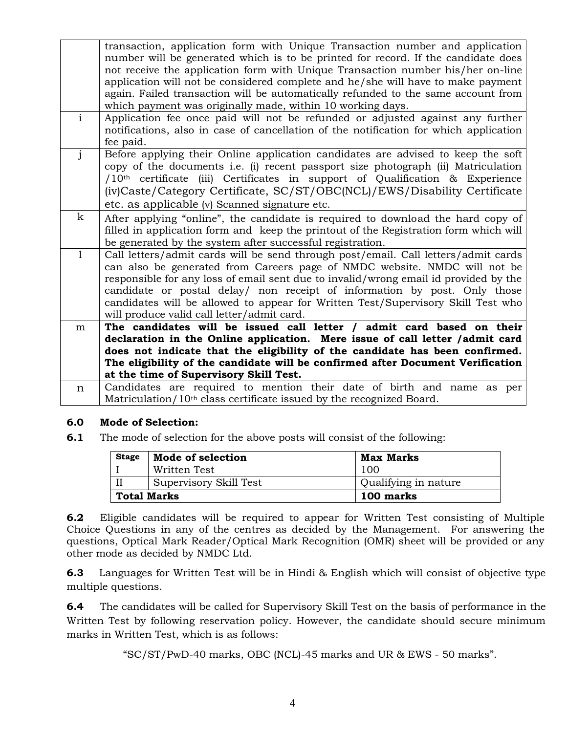|                | transaction, application form with Unique Transaction number and application<br>number will be generated which is to be printed for record. If the candidate does<br>not receive the application form with Unique Transaction number his/her on-line<br>application will not be considered complete and he/she will have to make payment<br>again. Failed transaction will be automatically refunded to the same account from<br>which payment was originally made, within 10 working days. |
|----------------|---------------------------------------------------------------------------------------------------------------------------------------------------------------------------------------------------------------------------------------------------------------------------------------------------------------------------------------------------------------------------------------------------------------------------------------------------------------------------------------------|
| $\overline{i}$ | Application fee once paid will not be refunded or adjusted against any further<br>notifications, also in case of cancellation of the notification for which application<br>fee paid.                                                                                                                                                                                                                                                                                                        |
| $\mathbf{i}$   | Before applying their Online application candidates are advised to keep the soft<br>copy of the documents i.e. (i) recent passport size photograph (ii) Matriculation<br>/10 <sup>th</sup> certificate (iii) Certificates in support of Qualification & Experience<br>(iv)Caste/Category Certificate, SC/ST/OBC(NCL)/EWS/Disability Certificate<br>etc. as applicable (v) Scanned signature etc.                                                                                            |
| $\mathbf k$    | After applying "online", the candidate is required to download the hard copy of<br>filled in application form and keep the printout of the Registration form which will<br>be generated by the system after successful registration.                                                                                                                                                                                                                                                        |
|                | Call letters/admit cards will be send through post/email. Call letters/admit cards<br>can also be generated from Careers page of NMDC website. NMDC will not be<br>responsible for any loss of email sent due to invalid/wrong email id provided by the<br>candidate or postal delay/ non receipt of information by post. Only those<br>candidates will be allowed to appear for Written Test/Supervisory Skill Test who<br>will produce valid call letter/admit card.                      |
| m              | The candidates will be issued call letter / admit card based on their<br>declaration in the Online application. Mere issue of call letter /admit card<br>does not indicate that the eligibility of the candidate has been confirmed.<br>The eligibility of the candidate will be confirmed after Document Verification                                                                                                                                                                      |
|                | at the time of Supervisory Skill Test.                                                                                                                                                                                                                                                                                                                                                                                                                                                      |
| $\mathbf n$    | Candidates are required to mention their date of birth and name as per<br>Matriculation/10 <sup>th</sup> class certificate issued by the recognized Board.                                                                                                                                                                                                                                                                                                                                  |

#### **6.0 Mode of Selection:**

**6.1** The mode of selection for the above posts will consist of the following:

| <b>Stage</b> | Mode of selection      | <b>Max Marks</b>     |
|--------------|------------------------|----------------------|
|              | Written Test           | 100                  |
|              | Supervisory Skill Test | Qualifying in nature |
| Total Marks  |                        | 100 marks            |

**6.2** Eligible candidates will be required to appear for Written Test consisting of Multiple Choice Questions in any of the centres as decided by the Management. For answering the questions, Optical Mark Reader/Optical Mark Recognition (OMR) sheet will be provided or any other mode as decided by NMDC Ltd.

**6.3** Languages for Written Test will be in Hindi & English which will consist of objective type multiple questions.

**6.4** The candidates will be called for Supervisory Skill Test on the basis of performance in the Written Test by following reservation policy. However, the candidate should secure minimum marks in Written Test, which is as follows:

"SC/ST/PwD-40 marks, OBC (NCL)-45 marks and UR & EWS - 50 marks".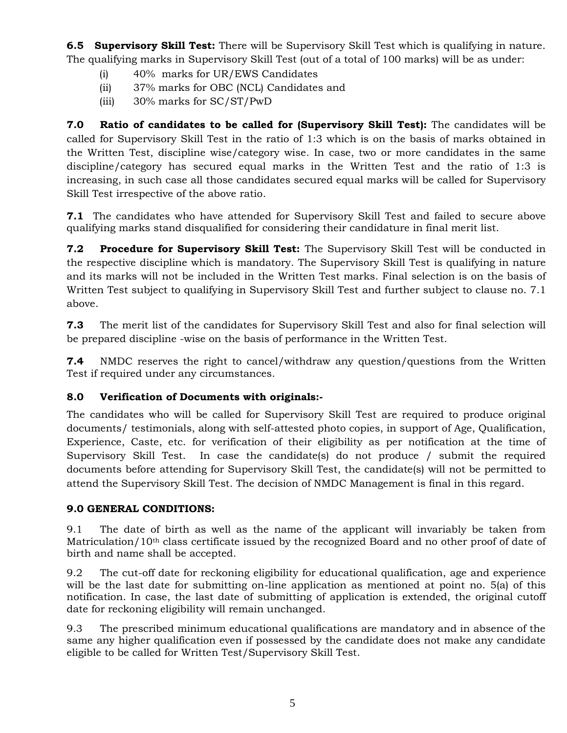**6.5 Supervisory Skill Test:** There will be Supervisory Skill Test which is qualifying in nature. The qualifying marks in Supervisory Skill Test (out of a total of 100 marks) will be as under:

- (i) 40% marks for UR/EWS Candidates
- (ii) 37% marks for OBC (NCL) Candidates and
- (iii) 30% marks for SC/ST/PwD

**7.0 Ratio of candidates to be called for (Supervisory Skill Test):** The candidates will be called for Supervisory Skill Test in the ratio of 1:3 which is on the basis of marks obtained in the Written Test, discipline wise/category wise. In case, two or more candidates in the same discipline/category has secured equal marks in the Written Test and the ratio of 1:3 is increasing, in such case all those candidates secured equal marks will be called for Supervisory Skill Test irrespective of the above ratio.

**7.1** The candidates who have attended for Supervisory Skill Test and failed to secure above qualifying marks stand disqualified for considering their candidature in final merit list.

**7.2 Procedure for Supervisory Skill Test:** The Supervisory Skill Test will be conducted in the respective discipline which is mandatory. The Supervisory Skill Test is qualifying in nature and its marks will not be included in the Written Test marks. Final selection is on the basis of Written Test subject to qualifying in Supervisory Skill Test and further subject to clause no. 7.1 above.

**7.3** The merit list of the candidates for Supervisory Skill Test and also for final selection will be prepared discipline -wise on the basis of performance in the Written Test.

**7.4** NMDC reserves the right to cancel/withdraw any question/questions from the Written Test if required under any circumstances.

# **8.0 Verification of Documents with originals:-**

The candidates who will be called for Supervisory Skill Test are required to produce original documents/ testimonials, along with self-attested photo copies, in support of Age, Qualification, Experience, Caste, etc. for verification of their eligibility as per notification at the time of Supervisory Skill Test. In case the candidate(s) do not produce / submit the required documents before attending for Supervisory Skill Test, the candidate(s) will not be permitted to attend the Supervisory Skill Test. The decision of NMDC Management is final in this regard.

# **9.0 GENERAL CONDITIONS:**

9.1 The date of birth as well as the name of the applicant will invariably be taken from Matriculation/10th class certificate issued by the recognized Board and no other proof of date of birth and name shall be accepted.

9.2 The cut-off date for reckoning eligibility for educational qualification, age and experience will be the last date for submitting on-line application as mentioned at point no. 5(a) of this notification. In case, the last date of submitting of application is extended, the original cutoff date for reckoning eligibility will remain unchanged.

9.3 The prescribed minimum educational qualifications are mandatory and in absence of the same any higher qualification even if possessed by the candidate does not make any candidate eligible to be called for Written Test/Supervisory Skill Test.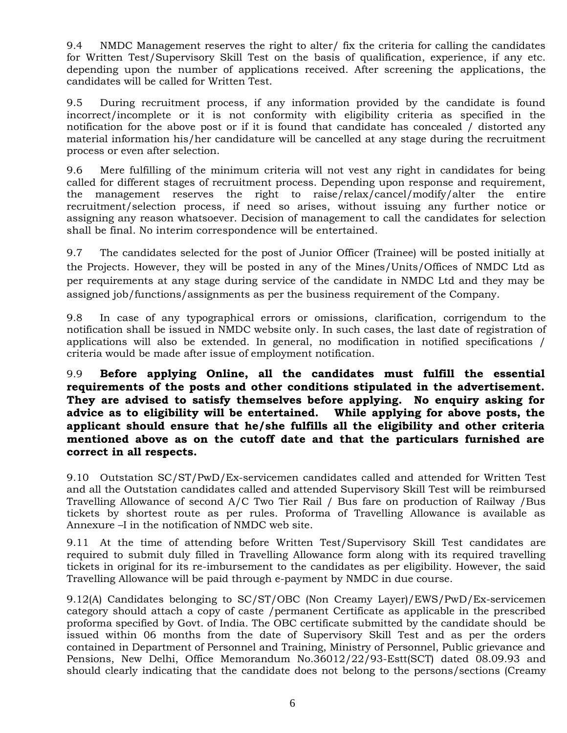9.4 NMDC Management reserves the right to alter/ fix the criteria for calling the candidates for Written Test/Supervisory Skill Test on the basis of qualification, experience, if any etc. depending upon the number of applications received. After screening the applications, the candidates will be called for Written Test.

9.5 During recruitment process, if any information provided by the candidate is found incorrect/incomplete or it is not conformity with eligibility criteria as specified in the notification for the above post or if it is found that candidate has concealed / distorted any material information his/her candidature will be cancelled at any stage during the recruitment process or even after selection.

9.6 Mere fulfilling of the minimum criteria will not vest any right in candidates for being called for different stages of recruitment process. Depending upon response and requirement, the management reserves the right to raise/relax/cancel/modify/alter the entire recruitment/selection process, if need so arises, without issuing any further notice or assigning any reason whatsoever. Decision of management to call the candidates for selection shall be final. No interim correspondence will be entertained.

9.7 The candidates selected for the post of Junior Officer (Trainee) will be posted initially at the Projects. However, they will be posted in any of the Mines/Units/Offices of NMDC Ltd as per requirements at any stage during service of the candidate in NMDC Ltd and they may be assigned job/functions/assignments as per the business requirement of the Company.

9.8 In case of any typographical errors or omissions, clarification, corrigendum to the notification shall be issued in NMDC website only. In such cases, the last date of registration of applications will also be extended. In general, no modification in notified specifications / criteria would be made after issue of employment notification.

9.9 **Before applying Online, all the candidates must fulfill the essential requirements of the posts and other conditions stipulated in the advertisement. They are advised to satisfy themselves before applying. No enquiry asking for advice as to eligibility will be entertained. While applying for above posts, the applicant should ensure that he/she fulfills all the eligibility and other criteria mentioned above as on the cutoff date and that the particulars furnished are correct in all respects.**

9.10 Outstation SC/ST/PwD/Ex-servicemen candidates called and attended for Written Test and all the Outstation candidates called and attended Supervisory Skill Test will be reimbursed Travelling Allowance of second A/C Two Tier Rail / Bus fare on production of Railway /Bus tickets by shortest route as per rules. Proforma of Travelling Allowance is available as Annexure –I in the notification of NMDC web site.

9.11 At the time of attending before Written Test/Supervisory Skill Test candidates are required to submit duly filled in Travelling Allowance form along with its required travelling tickets in original for its re-imbursement to the candidates as per eligibility. However, the said Travelling Allowance will be paid through e-payment by NMDC in due course.

9.12(A) Candidates belonging to SC/ST/OBC (Non Creamy Layer)/EWS/PwD/Ex-servicemen category should attach a copy of caste /permanent Certificate as applicable in the prescribed proforma specified by Govt. of India. The OBC certificate submitted by the candidate should be issued within 06 months from the date of Supervisory Skill Test and as per the orders contained in Department of Personnel and Training, Ministry of Personnel, Public grievance and Pensions, New Delhi, Office Memorandum No.36012/22/93-Estt(SCT) dated 08.09.93 and should clearly indicating that the candidate does not belong to the persons/sections (Creamy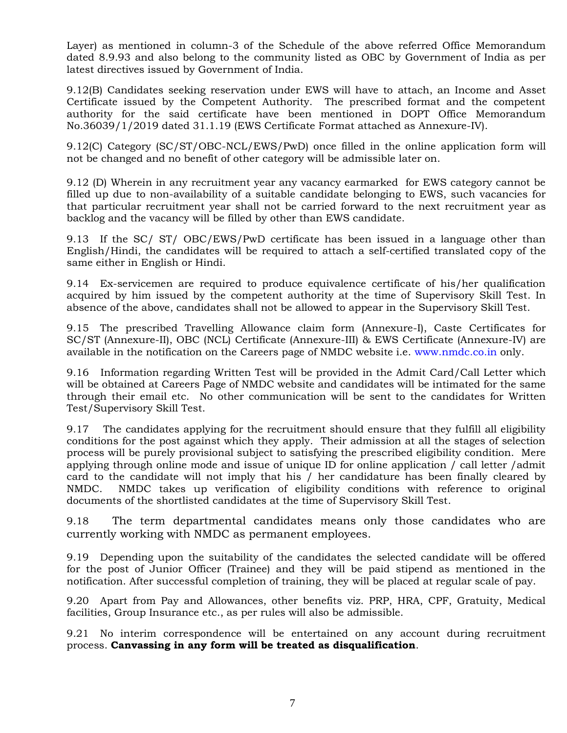Layer) as mentioned in column-3 of the Schedule of the above referred Office Memorandum dated 8.9.93 and also belong to the community listed as OBC by Government of India as per latest directives issued by Government of India.

9.12(B) Candidates seeking reservation under EWS will have to attach, an Income and Asset Certificate issued by the Competent Authority. The prescribed format and the competent authority for the said certificate have been mentioned in DOPT Office Memorandum No.36039/1/2019 dated 31.1.19 (EWS Certificate Format attached as Annexure-IV).

9.12(C) Category (SC/ST/OBC-NCL/EWS/PwD) once filled in the online application form will not be changed and no benefit of other category will be admissible later on.

9.12 (D) Wherein in any recruitment year any vacancy earmarked for EWS category cannot be filled up due to non-availability of a suitable candidate belonging to EWS, such vacancies for that particular recruitment year shall not be carried forward to the next recruitment year as backlog and the vacancy will be filled by other than EWS candidate.

9.13 If the SC/ ST/ OBC/EWS/PwD certificate has been issued in a language other than English/Hindi, the candidates will be required to attach a self-certified translated copy of the same either in English or Hindi.

9.14 Ex-servicemen are required to produce equivalence certificate of his/her qualification acquired by him issued by the competent authority at the time of Supervisory Skill Test. In absence of the above, candidates shall not be allowed to appear in the Supervisory Skill Test.

9.15 The prescribed Travelling Allowance claim form (Annexure-I), Caste Certificates for SC/ST (Annexure-II), OBC (NCL) Certificate (Annexure-III) & EWS Certificate (Annexure-IV) are available in the notification on the Careers page of NMDC website i.e. [www.nmdc.co.in](http://www.nmdc.co.in/) only.

9.16 Information regarding Written Test will be provided in the Admit Card/Call Letter which will be obtained at Careers Page of NMDC website and candidates will be intimated for the same through their email etc. No other communication will be sent to the candidates for Written Test/Supervisory Skill Test.

9.17 The candidates applying for the recruitment should ensure that they fulfill all eligibility conditions for the post against which they apply. Their admission at all the stages of selection process will be purely provisional subject to satisfying the prescribed eligibility condition. Mere applying through online mode and issue of unique ID for online application / call letter /admit card to the candidate will not imply that his / her candidature has been finally cleared by NMDC. NMDC takes up verification of eligibility conditions with reference to original documents of the shortlisted candidates at the time of Supervisory Skill Test.

9.18 The term departmental candidates means only those candidates who are currently working with NMDC as permanent employees.

9.19 Depending upon the suitability of the candidates the selected candidate will be offered for the post of Junior Officer (Trainee) and they will be paid stipend as mentioned in the notification. After successful completion of training, they will be placed at regular scale of pay.

9.20 Apart from Pay and Allowances, other benefits viz. PRP, HRA, CPF, Gratuity, Medical facilities, Group Insurance etc., as per rules will also be admissible.

9.21 No interim correspondence will be entertained on any account during recruitment process. **Canvassing in any form will be treated as disqualification**.